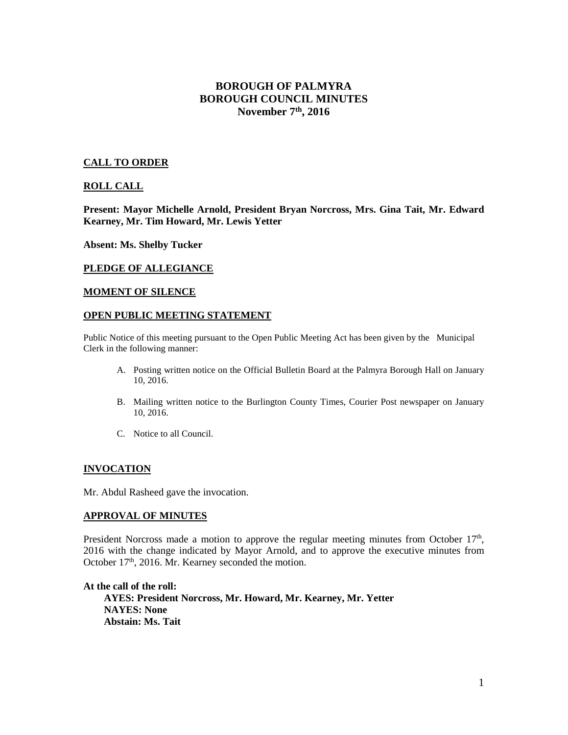# **BOROUGH OF PALMYRA BOROUGH COUNCIL MINUTES November 7th, 2016**

#### **CALL TO ORDER**

#### **ROLL CALL**

**Present: Mayor Michelle Arnold, President Bryan Norcross, Mrs. Gina Tait, Mr. Edward Kearney, Mr. Tim Howard, Mr. Lewis Yetter** 

**Absent: Ms. Shelby Tucker** 

#### **PLEDGE OF ALLEGIANCE**

#### **MOMENT OF SILENCE**

#### **OPEN PUBLIC MEETING STATEMENT**

Public Notice of this meeting pursuant to the Open Public Meeting Act has been given by the Municipal Clerk in the following manner:

- A. Posting written notice on the Official Bulletin Board at the Palmyra Borough Hall on January 10, 2016.
- B. Mailing written notice to the Burlington County Times, Courier Post newspaper on January 10, 2016.
- C. Notice to all Council.

#### **INVOCATION**

Mr. Abdul Rasheed gave the invocation.

#### **APPROVAL OF MINUTES**

President Norcross made a motion to approve the regular meeting minutes from October 17<sup>th</sup>, 2016 with the change indicated by Mayor Arnold, and to approve the executive minutes from October 17<sup>th</sup>, 2016. Mr. Kearney seconded the motion.

**At the call of the roll: AYES: President Norcross, Mr. Howard, Mr. Kearney, Mr. Yetter NAYES: None Abstain: Ms. Tait**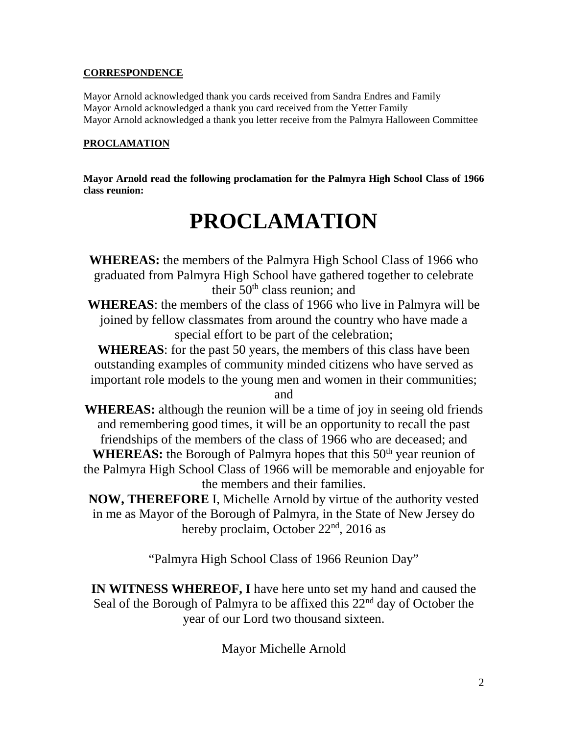# **CORRESPONDENCE**

Mayor Arnold acknowledged thank you cards received from Sandra Endres and Family Mayor Arnold acknowledged a thank you card received from the Yetter Family Mayor Arnold acknowledged a thank you letter receive from the Palmyra Halloween Committee

# **PROCLAMATION**

**Mayor Arnold read the following proclamation for the Palmyra High School Class of 1966 class reunion:** 

# **PROCLAMATION**

**WHEREAS:** the members of the Palmyra High School Class of 1966 who graduated from Palmyra High School have gathered together to celebrate their  $50<sup>th</sup>$  class reunion; and

**WHEREAS**: the members of the class of 1966 who live in Palmyra will be joined by fellow classmates from around the country who have made a special effort to be part of the celebration;

**WHEREAS**: for the past 50 years, the members of this class have been outstanding examples of community minded citizens who have served as important role models to the young men and women in their communities;

and

**WHEREAS:** although the reunion will be a time of joy in seeing old friends and remembering good times, it will be an opportunity to recall the past friendships of the members of the class of 1966 who are deceased; and

**WHEREAS:** the Borough of Palmyra hopes that this 50<sup>th</sup> year reunion of the Palmyra High School Class of 1966 will be memorable and enjoyable for the members and their families.

**NOW, THEREFORE** I, Michelle Arnold by virtue of the authority vested in me as Mayor of the Borough of Palmyra, in the State of New Jersey do hereby proclaim, October 22<sup>nd</sup>, 2016 as

"Palmyra High School Class of 1966 Reunion Day"

**IN WITNESS WHEREOF, I** have here unto set my hand and caused the Seal of the Borough of Palmyra to be affixed this  $22<sup>nd</sup>$  day of October the year of our Lord two thousand sixteen.

Mayor Michelle Arnold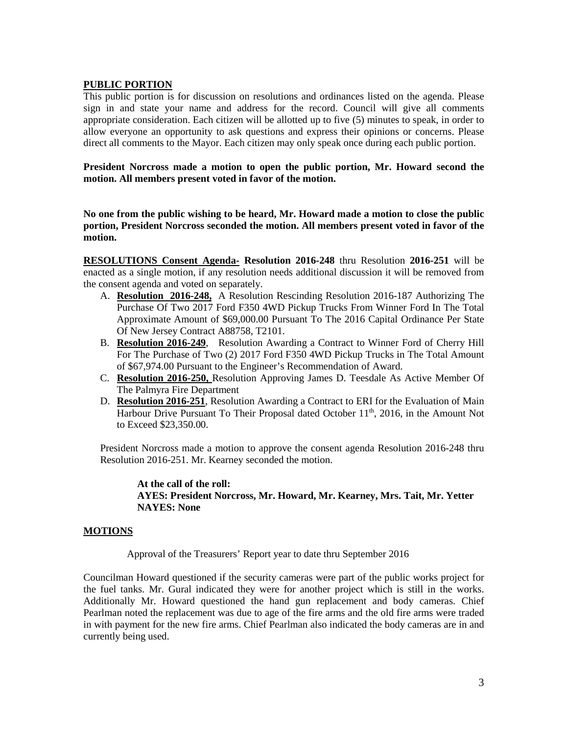#### **PUBLIC PORTION**

This public portion is for discussion on resolutions and ordinances listed on the agenda. Please sign in and state your name and address for the record. Council will give all comments appropriate consideration. Each citizen will be allotted up to five (5) minutes to speak, in order to allow everyone an opportunity to ask questions and express their opinions or concerns. Please direct all comments to the Mayor. Each citizen may only speak once during each public portion.

**President Norcross made a motion to open the public portion, Mr. Howard second the motion. All members present voted in favor of the motion.** 

**No one from the public wishing to be heard, Mr. Howard made a motion to close the public portion, President Norcross seconded the motion. All members present voted in favor of the motion.** 

**RESOLUTIONS Consent Agenda- Resolution 2016-248** thru Resolution **2016-251** will be enacted as a single motion, if any resolution needs additional discussion it will be removed from the consent agenda and voted on separately.

- A. **Resolution 2016-248,** A Resolution Rescinding Resolution 2016-187 Authorizing The Purchase Of Two 2017 Ford F350 4WD Pickup Trucks From Winner Ford In The Total Approximate Amount of \$69,000.00 Pursuant To The 2016 Capital Ordinance Per State Of New Jersey Contract A88758, T2101.
- B. **Resolution 2016-249**, Resolution Awarding a Contract to Winner Ford of Cherry Hill For The Purchase of Two (2) 2017 Ford F350 4WD Pickup Trucks in The Total Amount of \$67,974.00 Pursuant to the Engineer's Recommendation of Award.
- C. **Resolution 2016-250,** Resolution Approving James D. Teesdale As Active Member Of The Palmyra Fire Department
- D. **Resolution 2016-251**, Resolution Awarding a Contract to ERI for the Evaluation of Main Harbour Drive Pursuant To Their Proposal dated October  $11<sup>th</sup>$ , 2016, in the Amount Not to Exceed \$23,350.00.

President Norcross made a motion to approve the consent agenda Resolution 2016-248 thru Resolution 2016-251. Mr. Kearney seconded the motion.

 **At the call of the roll: AYES: President Norcross, Mr. Howard, Mr. Kearney, Mrs. Tait, Mr. Yetter NAYES: None** 

#### **MOTIONS**

Approval of the Treasurers' Report year to date thru September 2016

Councilman Howard questioned if the security cameras were part of the public works project for the fuel tanks. Mr. Gural indicated they were for another project which is still in the works. Additionally Mr. Howard questioned the hand gun replacement and body cameras. Chief Pearlman noted the replacement was due to age of the fire arms and the old fire arms were traded in with payment for the new fire arms. Chief Pearlman also indicated the body cameras are in and currently being used.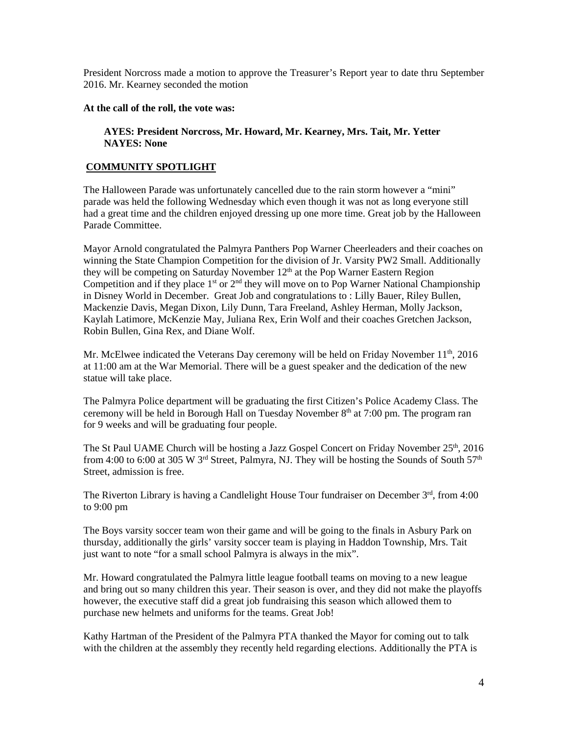President Norcross made a motion to approve the Treasurer's Report year to date thru September 2016. Mr. Kearney seconded the motion

**At the call of the roll, the vote was:** 

 **AYES: President Norcross, Mr. Howard, Mr. Kearney, Mrs. Tait, Mr. Yetter NAYES: None** 

### **COMMUNITY SPOTLIGHT**

The Halloween Parade was unfortunately cancelled due to the rain storm however a "mini" parade was held the following Wednesday which even though it was not as long everyone still had a great time and the children enjoyed dressing up one more time. Great job by the Halloween Parade Committee.

Mayor Arnold congratulated the Palmyra Panthers Pop Warner Cheerleaders and their coaches on winning the State Champion Competition for the division of Jr. Varsity PW2 Small. Additionally they will be competing on Saturday November  $12<sup>th</sup>$  at the Pop Warner Eastern Region Competition and if they place  $1<sup>st</sup>$  or  $2<sup>nd</sup>$  they will move on to Pop Warner National Championship in Disney World in December. Great Job and congratulations to : Lilly Bauer, Riley Bullen, Mackenzie Davis, Megan Dixon, Lily Dunn, Tara Freeland, Ashley Herman, Molly Jackson, Kaylah Latimore, McKenzie May, Juliana Rex, Erin Wolf and their coaches Gretchen Jackson, Robin Bullen, Gina Rex, and Diane Wolf.

Mr. McElwee indicated the Veterans Day ceremony will be held on Friday November  $11<sup>th</sup>$ , 2016 at 11:00 am at the War Memorial. There will be a guest speaker and the dedication of the new statue will take place.

The Palmyra Police department will be graduating the first Citizen's Police Academy Class. The ceremony will be held in Borough Hall on Tuesday November  $8<sup>th</sup>$  at 7:00 pm. The program ran for 9 weeks and will be graduating four people.

The St Paul UAME Church will be hosting a Jazz Gospel Concert on Friday November  $25<sup>th</sup>$ , 2016 from 4:00 to 6:00 at 305 W 3<sup>rd</sup> Street, Palmyra, NJ. They will be hosting the Sounds of South 57<sup>th</sup> Street, admission is free.

The Riverton Library is having a Candlelight House Tour fundraiser on December  $3<sup>rd</sup>$ . from 4:00 to 9:00 pm

The Boys varsity soccer team won their game and will be going to the finals in Asbury Park on thursday, additionally the girls' varsity soccer team is playing in Haddon Township, Mrs. Tait just want to note "for a small school Palmyra is always in the mix".

Mr. Howard congratulated the Palmyra little league football teams on moving to a new league and bring out so many children this year. Their season is over, and they did not make the playoffs however, the executive staff did a great job fundraising this season which allowed them to purchase new helmets and uniforms for the teams. Great Job!

Kathy Hartman of the President of the Palmyra PTA thanked the Mayor for coming out to talk with the children at the assembly they recently held regarding elections. Additionally the PTA is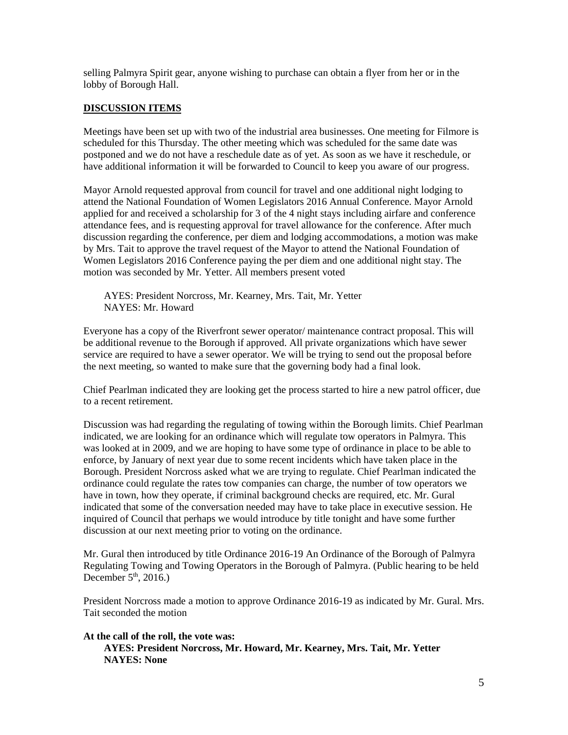selling Palmyra Spirit gear, anyone wishing to purchase can obtain a flyer from her or in the lobby of Borough Hall.

#### **DISCUSSION ITEMS**

Meetings have been set up with two of the industrial area businesses. One meeting for Filmore is scheduled for this Thursday. The other meeting which was scheduled for the same date was postponed and we do not have a reschedule date as of yet. As soon as we have it reschedule, or have additional information it will be forwarded to Council to keep you aware of our progress.

Mayor Arnold requested approval from council for travel and one additional night lodging to attend the National Foundation of Women Legislators 2016 Annual Conference. Mayor Arnold applied for and received a scholarship for 3 of the 4 night stays including airfare and conference attendance fees, and is requesting approval for travel allowance for the conference. After much discussion regarding the conference, per diem and lodging accommodations, a motion was make by Mrs. Tait to approve the travel request of the Mayor to attend the National Foundation of Women Legislators 2016 Conference paying the per diem and one additional night stay. The motion was seconded by Mr. Yetter. All members present voted

 AYES: President Norcross, Mr. Kearney, Mrs. Tait, Mr. Yetter NAYES: Mr. Howard

Everyone has a copy of the Riverfront sewer operator/ maintenance contract proposal. This will be additional revenue to the Borough if approved. All private organizations which have sewer service are required to have a sewer operator. We will be trying to send out the proposal before the next meeting, so wanted to make sure that the governing body had a final look.

Chief Pearlman indicated they are looking get the process started to hire a new patrol officer, due to a recent retirement.

Discussion was had regarding the regulating of towing within the Borough limits. Chief Pearlman indicated, we are looking for an ordinance which will regulate tow operators in Palmyra. This was looked at in 2009, and we are hoping to have some type of ordinance in place to be able to enforce, by January of next year due to some recent incidents which have taken place in the Borough. President Norcross asked what we are trying to regulate. Chief Pearlman indicated the ordinance could regulate the rates tow companies can charge, the number of tow operators we have in town, how they operate, if criminal background checks are required, etc. Mr. Gural indicated that some of the conversation needed may have to take place in executive session. He inquired of Council that perhaps we would introduce by title tonight and have some further discussion at our next meeting prior to voting on the ordinance.

Mr. Gural then introduced by title Ordinance 2016-19 An Ordinance of the Borough of Palmyra Regulating Towing and Towing Operators in the Borough of Palmyra. (Public hearing to be held December  $5<sup>th</sup>$ , 2016.)

President Norcross made a motion to approve Ordinance 2016-19 as indicated by Mr. Gural. Mrs. Tait seconded the motion

#### **At the call of the roll, the vote was:**

 **AYES: President Norcross, Mr. Howard, Mr. Kearney, Mrs. Tait, Mr. Yetter NAYES: None**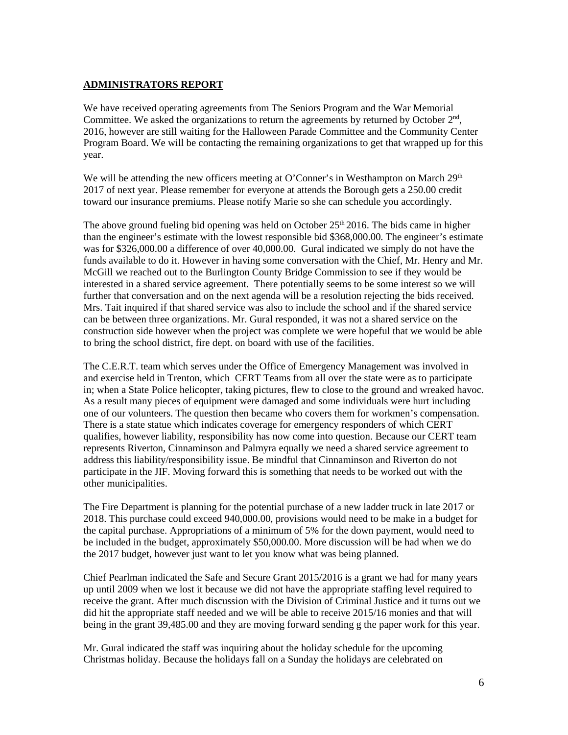# **ADMINISTRATORS REPORT**

We have received operating agreements from The Seniors Program and the War Memorial Committee. We asked the organizations to return the agreements by returned by October  $2<sup>nd</sup>$ , 2016, however are still waiting for the Halloween Parade Committee and the Community Center Program Board. We will be contacting the remaining organizations to get that wrapped up for this year.

We will be attending the new officers meeting at O'Conner's in Westhampton on March  $29<sup>th</sup>$ 2017 of next year. Please remember for everyone at attends the Borough gets a 250.00 credit toward our insurance premiums. Please notify Marie so she can schedule you accordingly.

The above ground fueling bid opening was held on October  $25<sup>th</sup> 2016$ . The bids came in higher than the engineer's estimate with the lowest responsible bid \$368,000.00. The engineer's estimate was for \$326,000.00 a difference of over 40,000.00. Gural indicated we simply do not have the funds available to do it. However in having some conversation with the Chief, Mr. Henry and Mr. McGill we reached out to the Burlington County Bridge Commission to see if they would be interested in a shared service agreement. There potentially seems to be some interest so we will further that conversation and on the next agenda will be a resolution rejecting the bids received. Mrs. Tait inquired if that shared service was also to include the school and if the shared service can be between three organizations. Mr. Gural responded, it was not a shared service on the construction side however when the project was complete we were hopeful that we would be able to bring the school district, fire dept. on board with use of the facilities.

The C.E.R.T. team which serves under the Office of Emergency Management was involved in and exercise held in Trenton, which CERT Teams from all over the state were as to participate in; when a State Police helicopter, taking pictures, flew to close to the ground and wreaked havoc. As a result many pieces of equipment were damaged and some individuals were hurt including one of our volunteers. The question then became who covers them for workmen's compensation. There is a state statue which indicates coverage for emergency responders of which CERT qualifies, however liability, responsibility has now come into question. Because our CERT team represents Riverton, Cinnaminson and Palmyra equally we need a shared service agreement to address this liability/responsibility issue. Be mindful that Cinnaminson and Riverton do not participate in the JIF. Moving forward this is something that needs to be worked out with the other municipalities.

The Fire Department is planning for the potential purchase of a new ladder truck in late 2017 or 2018. This purchase could exceed 940,000.00, provisions would need to be make in a budget for the capital purchase. Appropriations of a minimum of 5% for the down payment, would need to be included in the budget, approximately \$50,000.00. More discussion will be had when we do the 2017 budget, however just want to let you know what was being planned.

Chief Pearlman indicated the Safe and Secure Grant 2015/2016 is a grant we had for many years up until 2009 when we lost it because we did not have the appropriate staffing level required to receive the grant. After much discussion with the Division of Criminal Justice and it turns out we did hit the appropriate staff needed and we will be able to receive 2015/16 monies and that will being in the grant 39,485.00 and they are moving forward sending g the paper work for this year.

Mr. Gural indicated the staff was inquiring about the holiday schedule for the upcoming Christmas holiday. Because the holidays fall on a Sunday the holidays are celebrated on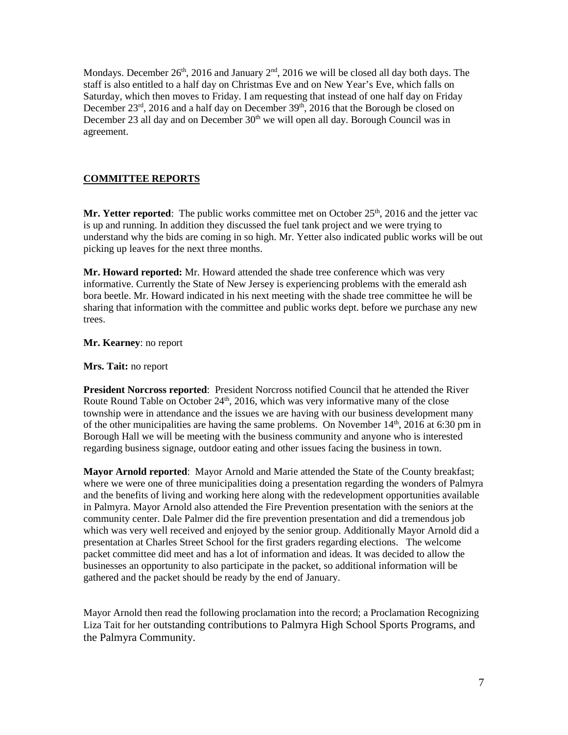Mondays. December 26<sup>th</sup>, 2016 and January  $2<sup>nd</sup>$ , 2016 we will be closed all day both days. The staff is also entitled to a half day on Christmas Eve and on New Year's Eve, which falls on Saturday, which then moves to Friday. I am requesting that instead of one half day on Friday December  $23^{\text{rd}}$ , 2016 and a half day on December  $39^{\text{th}}$ , 2016 that the Borough be closed on December 23 all day and on December  $30<sup>th</sup>$  we will open all day. Borough Council was in agreement.

# **COMMITTEE REPORTS**

Mr. Yetter reported: The public works committee met on October 25<sup>th</sup>, 2016 and the jetter vac is up and running. In addition they discussed the fuel tank project and we were trying to understand why the bids are coming in so high. Mr. Yetter also indicated public works will be out picking up leaves for the next three months.

**Mr. Howard reported:** Mr. Howard attended the shade tree conference which was very informative. Currently the State of New Jersey is experiencing problems with the emerald ash bora beetle. Mr. Howard indicated in his next meeting with the shade tree committee he will be sharing that information with the committee and public works dept. before we purchase any new trees.

**Mr. Kearney**: no report

**Mrs. Tait:** no report

**President Norcross reported**: President Norcross notified Council that he attended the River Route Round Table on October  $24<sup>th</sup>$ , 2016, which was very informative many of the close township were in attendance and the issues we are having with our business development many of the other municipalities are having the same problems. On November  $14<sup>th</sup>$ , 2016 at 6:30 pm in Borough Hall we will be meeting with the business community and anyone who is interested regarding business signage, outdoor eating and other issues facing the business in town.

**Mayor Arnold reported**: Mayor Arnold and Marie attended the State of the County breakfast; where we were one of three municipalities doing a presentation regarding the wonders of Palmyra and the benefits of living and working here along with the redevelopment opportunities available in Palmyra. Mayor Arnold also attended the Fire Prevention presentation with the seniors at the community center. Dale Palmer did the fire prevention presentation and did a tremendous job which was very well received and enjoyed by the senior group. Additionally Mayor Arnold did a presentation at Charles Street School for the first graders regarding elections. The welcome packet committee did meet and has a lot of information and ideas. It was decided to allow the businesses an opportunity to also participate in the packet, so additional information will be gathered and the packet should be ready by the end of January.

Mayor Arnold then read the following proclamation into the record; a Proclamation Recognizing Liza Tait for her outstanding contributions to Palmyra High School Sports Programs, and the Palmyra Community.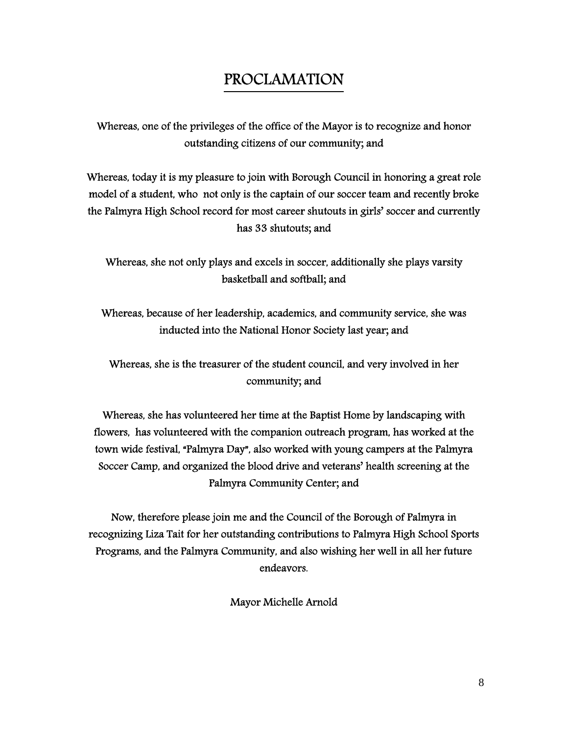# PROCLAMATION

Whereas, one of the privileges of the office of the Mayor is to recognize and honor outstanding citizens of our community; and

Whereas, today it is my pleasure to join with Borough Council in honoring a great role model of a student, who not only is the captain of our soccer team and recently broke the Palmyra High School record for most career shutouts in girls' soccer and currently has 33 shutouts; and

Whereas, she not only plays and excels in soccer, additionally she plays varsity basketball and softball; and

Whereas, because of her leadership, academics, and community service, she was inducted into the National Honor Society last year; and

Whereas, she is the treasurer of the student council, and very involved in her community; and

Whereas, she has volunteered her time at the Baptist Home by landscaping with flowers, has volunteered with the companion outreach program, has worked at the town wide festival, "Palmyra Day", also worked with young campers at the Palmyra Soccer Camp, and organized the blood drive and veterans' health screening at the Palmyra Community Center; and

Now, therefore please join me and the Council of the Borough of Palmyra in recognizing Liza Tait for her outstanding contributions to Palmyra High School Sports Programs, and the Palmyra Community, and also wishing her well in all her future endeavors.

Mayor Michelle Arnold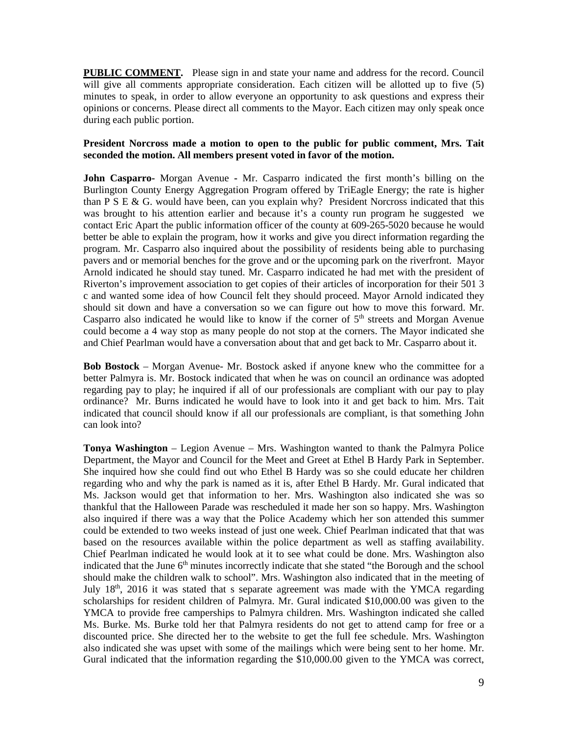**PUBLIC COMMENT.** Please sign in and state your name and address for the record. Council will give all comments appropriate consideration. Each citizen will be allotted up to five (5) minutes to speak, in order to allow everyone an opportunity to ask questions and express their opinions or concerns. Please direct all comments to the Mayor. Each citizen may only speak once during each public portion.

#### **President Norcross made a motion to open to the public for public comment, Mrs. Tait seconded the motion. All members present voted in favor of the motion.**

**John Casparro-** Morgan Avenue **-** Mr. Casparro indicated the first month's billing on the Burlington County Energy Aggregation Program offered by TriEagle Energy; the rate is higher than P S E & G. would have been, can you explain why? President Norcross indicated that this was brought to his attention earlier and because it's a county run program he suggested we contact Eric Apart the public information officer of the county at 609-265-5020 because he would better be able to explain the program, how it works and give you direct information regarding the program. Mr. Casparro also inquired about the possibility of residents being able to purchasing pavers and or memorial benches for the grove and or the upcoming park on the riverfront. Mayor Arnold indicated he should stay tuned. Mr. Casparro indicated he had met with the president of Riverton's improvement association to get copies of their articles of incorporation for their 501 3 c and wanted some idea of how Council felt they should proceed. Mayor Arnold indicated they should sit down and have a conversation so we can figure out how to move this forward. Mr. Casparro also indicated he would like to know if the corner of  $5<sup>th</sup>$  streets and Morgan Avenue could become a 4 way stop as many people do not stop at the corners. The Mayor indicated she and Chief Pearlman would have a conversation about that and get back to Mr. Casparro about it.

**Bob Bostock** – Morgan Avenue- Mr. Bostock asked if anyone knew who the committee for a better Palmyra is. Mr. Bostock indicated that when he was on council an ordinance was adopted regarding pay to play; he inquired if all of our professionals are compliant with our pay to play ordinance? Mr. Burns indicated he would have to look into it and get back to him. Mrs. Tait indicated that council should know if all our professionals are compliant, is that something John can look into?

**Tonya Washington** – Legion Avenue – Mrs. Washington wanted to thank the Palmyra Police Department, the Mayor and Council for the Meet and Greet at Ethel B Hardy Park in September. She inquired how she could find out who Ethel B Hardy was so she could educate her children regarding who and why the park is named as it is, after Ethel B Hardy. Mr. Gural indicated that Ms. Jackson would get that information to her. Mrs. Washington also indicated she was so thankful that the Halloween Parade was rescheduled it made her son so happy. Mrs. Washington also inquired if there was a way that the Police Academy which her son attended this summer could be extended to two weeks instead of just one week. Chief Pearlman indicated that that was based on the resources available within the police department as well as staffing availability. Chief Pearlman indicated he would look at it to see what could be done. Mrs. Washington also indicated that the June 6<sup>th</sup> minutes incorrectly indicate that she stated "the Borough and the school should make the children walk to school". Mrs. Washington also indicated that in the meeting of July  $18<sup>th</sup>$ , 2016 it was stated that s separate agreement was made with the YMCA regarding scholarships for resident children of Palmyra. Mr. Gural indicated \$10,000.00 was given to the YMCA to provide free camperships to Palmyra children. Mrs. Washington indicated she called Ms. Burke. Ms. Burke told her that Palmyra residents do not get to attend camp for free or a discounted price. She directed her to the website to get the full fee schedule. Mrs. Washington also indicated she was upset with some of the mailings which were being sent to her home. Mr. Gural indicated that the information regarding the \$10,000.00 given to the YMCA was correct,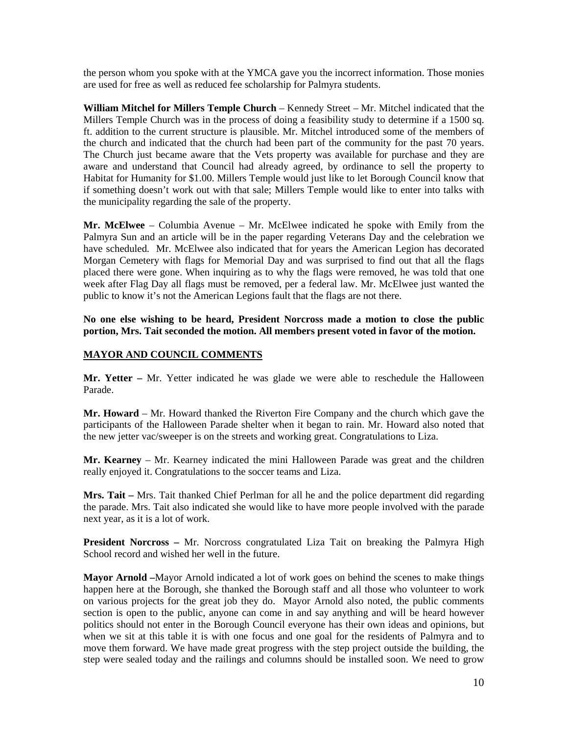the person whom you spoke with at the YMCA gave you the incorrect information. Those monies are used for free as well as reduced fee scholarship for Palmyra students.

**William Mitchel for Millers Temple Church** – Kennedy Street – Mr. Mitchel indicated that the Millers Temple Church was in the process of doing a feasibility study to determine if a 1500 sq. ft. addition to the current structure is plausible. Mr. Mitchel introduced some of the members of the church and indicated that the church had been part of the community for the past 70 years. The Church just became aware that the Vets property was available for purchase and they are aware and understand that Council had already agreed, by ordinance to sell the property to Habitat for Humanity for \$1.00. Millers Temple would just like to let Borough Council know that if something doesn't work out with that sale; Millers Temple would like to enter into talks with the municipality regarding the sale of the property.

**Mr. McElwee** – Columbia Avenue – Mr. McElwee indicated he spoke with Emily from the Palmyra Sun and an article will be in the paper regarding Veterans Day and the celebration we have scheduled. Mr. McElwee also indicated that for years the American Legion has decorated Morgan Cemetery with flags for Memorial Day and was surprised to find out that all the flags placed there were gone. When inquiring as to why the flags were removed, he was told that one week after Flag Day all flags must be removed, per a federal law. Mr. McElwee just wanted the public to know it's not the American Legions fault that the flags are not there.

**No one else wishing to be heard, President Norcross made a motion to close the public portion, Mrs. Tait seconded the motion. All members present voted in favor of the motion.** 

# **MAYOR AND COUNCIL COMMENTS**

**Mr. Yetter –** Mr. Yetter indicated he was glade we were able to reschedule the Halloween Parade.

**Mr. Howard** – Mr. Howard thanked the Riverton Fire Company and the church which gave the participants of the Halloween Parade shelter when it began to rain. Mr. Howard also noted that the new jetter vac/sweeper is on the streets and working great. Congratulations to Liza.

**Mr. Kearney** – Mr. Kearney indicated the mini Halloween Parade was great and the children really enjoyed it. Congratulations to the soccer teams and Liza.

**Mrs. Tait –** Mrs. Tait thanked Chief Perlman for all he and the police department did regarding the parade. Mrs. Tait also indicated she would like to have more people involved with the parade next year, as it is a lot of work.

**President Norcross –** Mr. Norcross congratulated Liza Tait on breaking the Palmyra High School record and wished her well in the future.

**Mayor Arnold –**Mayor Arnold indicated a lot of work goes on behind the scenes to make things happen here at the Borough, she thanked the Borough staff and all those who volunteer to work on various projects for the great job they do. Mayor Arnold also noted, the public comments section is open to the public, anyone can come in and say anything and will be heard however politics should not enter in the Borough Council everyone has their own ideas and opinions, but when we sit at this table it is with one focus and one goal for the residents of Palmyra and to move them forward. We have made great progress with the step project outside the building, the step were sealed today and the railings and columns should be installed soon. We need to grow